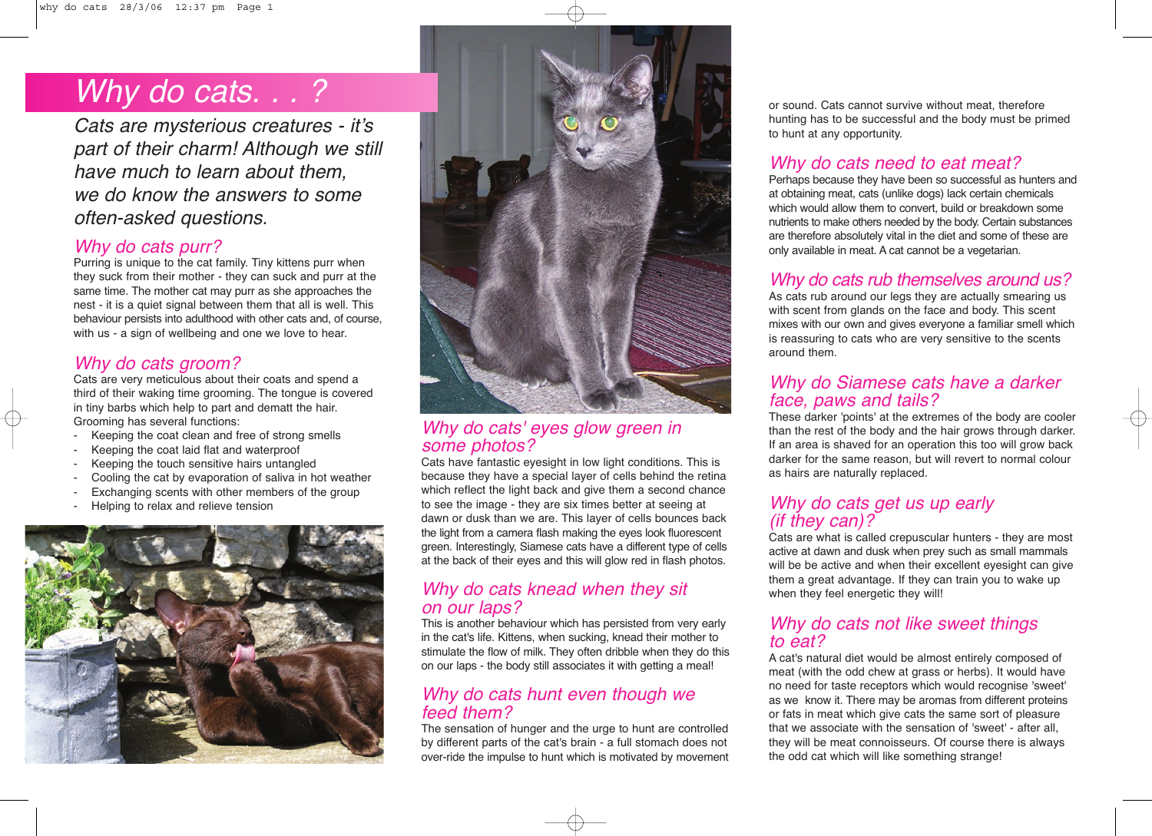# Why do cats. . .?

Cats are mysterious creatures - it's part of their charm! Although we still have much to learn about them, we do know the answers to some often-asked questions.

#### Why do cats purr?

Purring is unique to the cat family. Tiny kittens purr when they suck from their mother - they can suck and purr at the same time. The mother cat may purr as she approaches the nest - it is a quiet signal between them that all is well. This behaviour persists into adulthood with other cats and, of course, with us - a sign of wellbeing and one we love to hear.

### Why do cats groom?

Cats are very meticulous about their coats and spend a third of their waking time grooming. The tongue is covered in tiny barbs which help to part and dematt the hair. Grooming has several functions:

- Keeping the coat clean and free of strong smells
- Keeping the coat laid flat and waterproof
- Keeping the touch sensitive hairs untangled
- Cooling the cat by evaporation of saliva in hot weather
- Exchanging scents with other members of the group
- Helping to relax and relieve tension





#### Why do cats' eyes glow green in some photos?

Cats have fantastic eyesight in low light conditions. This is because they have a special layer of cells behind the retina which reflect the light back and give them a second chance to see the image - they are six times better at seeing at dawn or dusk than we are. This layer of cells bounces back the light from a camera flash making the eyes look fluorescent green. Interestingly, Siamese cats have a different type of cells at the back of their eyes and this will glow red in flash photos.

#### Why do cats knead when they sit on our laps?

This is another behaviour which has persisted from very early in the cat's life. Kittens, when sucking, knead their mother to stimulate the flow of milk. They often dribble when they do this on our laps - the body still associates it with getting a meal!

#### Why do cats hunt even though we feed them?

The sensation of hunger and the urge to hunt are controlled by different parts of the cat's brain - a full stomach does not over-ride the impulse to hunt which is motivated by movement or sound. Cats cannot survive without meat, therefore hunting has to be successful and the body must be primed to hunt at any opportunity.

### Why do cats need to eat meat?

Perhaps because they have been so successful as hunters and at obtaining meat, cats (unlike dogs) lack certain chemicals which would allow them to convert, build or breakdown some nutrients to make others needed by the body. Certain substances are therefore absolutely vital in the diet and some of these are only available in meat. A cat cannot be a vegetarian.

#### Why do cats rub themselves around us?

As cats rub around our legs they are actually smearing us with scent from glands on the face and body. This scent mixes with our own and gives everyone a familiar smell which is reassuring to cats who are very sensitive to the scents around them.

#### Why do Siamese cats have a darker face, paws and tails?

These darker 'points' at the extremes of the body are cooler than the rest of the body and the hair grows through darker. If an area is shaved for an operation this too will grow back darker for the same reason, but will revert to normal colour as hairs are naturally replaced.

#### Why do cats get us up early (if they can)?

Cats are what is called crepuscular hunters - they are most active at dawn and dusk when prey such as small mammals will be be active and when their excellent eyesight can give them a great advantage. If they can train you to wake up when they feel energetic they will!

#### Why do cats not like sweet things to eat?

A cat's natural diet would be almost entirely composed of meat (with the odd chew at grass or herbs). It would have no need for taste receptors which would recognise 'sweet' as we know it. There may be aromas from different proteins or fats in meat which give cats the same sort of pleasure that we associate with the sensation of 'sweet' - after all, they will be meat connoisseurs. Of course there is always the odd cat which will like something strange!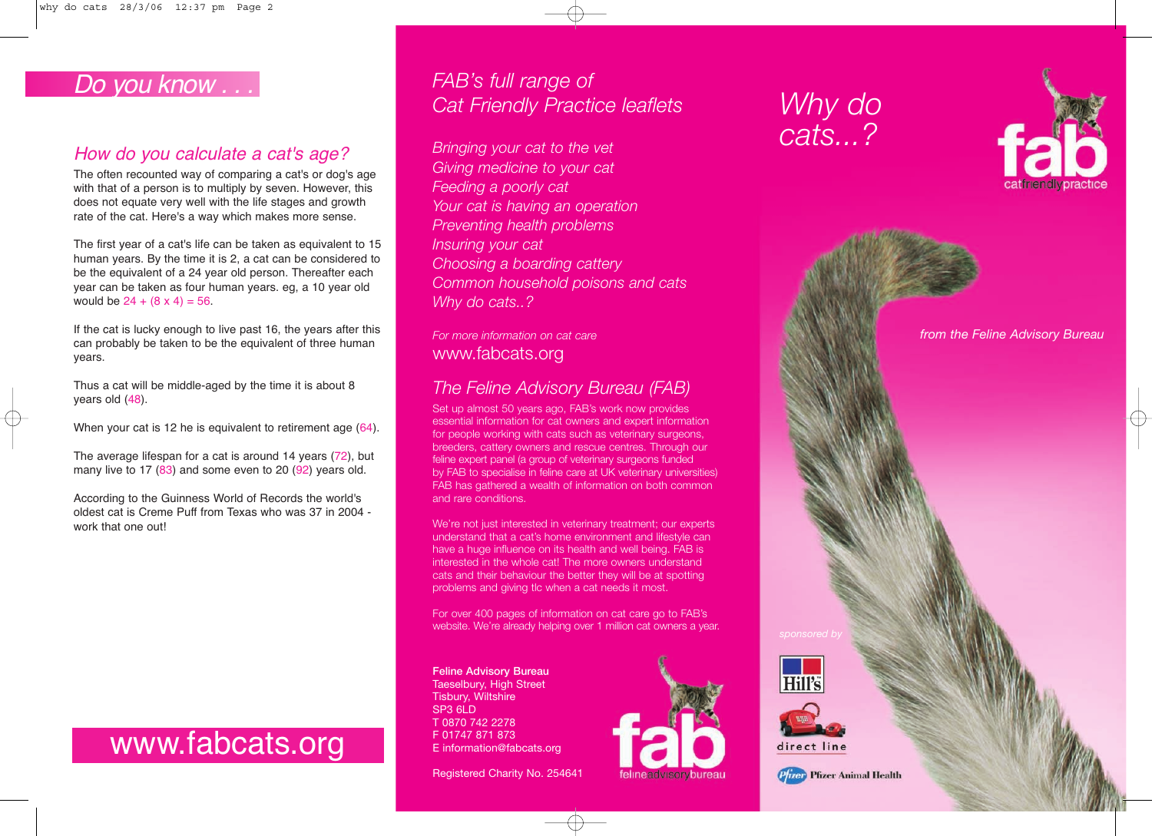# Do you know . . .

# How do you calculate a cat's age?

The often recounted way of comparing a cat's or dog's age with that of a person is to multiply by seven. However, this does not equate very well with the life stages and growth rate of the cat. Here's a way which makes more sense.

The first year of a cat's life can be taken as equivalent to 15 human years. By the time it is 2, a cat can be considered to be the equivalent of a 24 year old person. Thereafter each year can be taken as four human years. eg, a 10 year old would be  $24 + (8 \times 4) = 56$ .

If the cat is lucky enough to live past 16, the years after this can probably be taken to be the equivalent of three human years.

Thus a cat will be middle-aged by the time it is about 8 years old (48).

When your cat is 12 he is equivalent to retirement age (64).

The average lifespan for a cat is around 14 years (72), but many live to 17 (83) and some even to 20 (92) years old.

According to the Guinness World of Records the world's oldest cat is Creme Puff from Texas who was 37 in 2004 work that one out!

# www.fabcats.org

*FAB's full range of Cat Friendly Practice leaflets*

*Bringing your cat to the vet Giving medicine to your cat Feeding a poorly cat Your cat is having an operation Preventing health problems Insuring your cat Choosing a boarding cattery Common household poisons and cats Why do cats..?*

*For more information on cat care* www.fabcats.org

# *The Feline Advisory Bureau (FAB)*

Set up almost 50 years ago, FAB's work now provides essential information for cat owners and expert information for people working with cats such as veterinary surgeons, breeders, cattery owners and rescue centres. Through our feline expert panel (a group of veterinary surgeons funded by FAB to specialise in feline care at UK veterinary universities) FAB has gathered a wealth of information on both common and rare conditions.

We're not just interested in veterinary treatment; our experts understand that a cat's home environment and lifestyle can have a huge influence on its health and well being. FAB is interested in the whole cat! The more owners understand cats and their behaviour the better they will be at spotting problems and giving tlc when a cat needs it most.

For over 400 pages of information on cat care go to FAB's website. We're already helping over 1 million cat owners a year.

**Feline Advisory Bureau** Taeselbury, High Street Tisbury, Wiltshire SP3 6LD T 0870 742 2278 F 01747 871 873 E information@fabcats.org



*Why do cats...?*



*from the Feline Advisory Bureau*





Registered Charity No. 254641